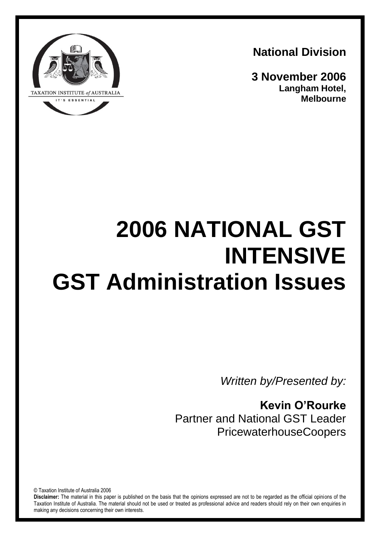**National Division**

**3 November 2006 Langham Hotel, Melbourne**



# **2006 NATIONAL GST INTENSIVE GST Administration Issues**

*Written by/Presented by:*

**Kevin O'Rourke** Partner and National GST Leader PricewaterhouseCoopers

© Taxation Institute of Australia 2006

**Disclaimer:** The material in this paper is published on the basis that the opinions expressed are not to be regarded as the official opinions of the Taxation Institute of Australia. The material should not be used or treated as professional advice and readers should rely on their own enquiries in making any decisions concerning their own interests.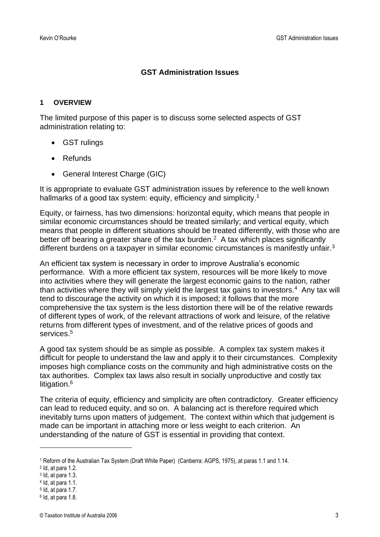# **GST Administration Issues**

#### **1 OVERVIEW**

The limited purpose of this paper is to discuss some selected aspects of GST administration relating to:

- GST rulings
- Refunds
- General Interest Charge (GIC)

It is appropriate to evaluate GST administration issues by reference to the well known hallmarks of a good tax system: equity, efficiency and simplicity.<sup>1</sup>

Equity, or fairness, has two dimensions: horizontal equity, which means that people in similar economic circumstances should be treated similarly; and vertical equity, which means that people in different situations should be treated differently, with those who are better off bearing a greater share of the tax burden. $2$  A tax which places significantly different burdens on a taxpayer in similar economic circumstances is manifestly unfair.<sup>3</sup>

An efficient tax system is necessary in order to improve Australia's economic performance. With a more efficient tax system, resources will be more likely to move into activities where they will generate the largest economic gains to the nation, rather than activities where they will simply yield the largest tax gains to investors.<sup>4</sup> Any tax will tend to discourage the activity on which it is imposed; it follows that the more comprehensive the tax system is the less distortion there will be of the relative rewards of different types of work, of the relevant attractions of work and leisure, of the relative returns from different types of investment, and of the relative prices of goods and services.<sup>5</sup>

A good tax system should be as simple as possible. A complex tax system makes it difficult for people to understand the law and apply it to their circumstances. Complexity imposes high compliance costs on the community and high administrative costs on the tax authorities. Complex tax laws also result in socially unproductive and costly tax litigation.<sup>6</sup>

The criteria of equity, efficiency and simplicity are often contradictory. Greater efficiency can lead to reduced equity, and so on. A balancing act is therefore required which inevitably turns upon matters of judgement. The context within which that judgement is made can be important in attaching more or less weight to each criterion. An understanding of the nature of GST is essential in providing that context.

<sup>1</sup> Reform of the Australian Tax System (Draft White Paper) (Canberra: AGPS, 1975), at paras 1.1 and 1.14.

<sup>2</sup> Id, at para 1.2.

<sup>3</sup> Id, at para 1.3.

<sup>4</sup> Id, at para 1.1.

<sup>5</sup> Id, at para 1.7.

<sup>6</sup> Id, at para 1.8.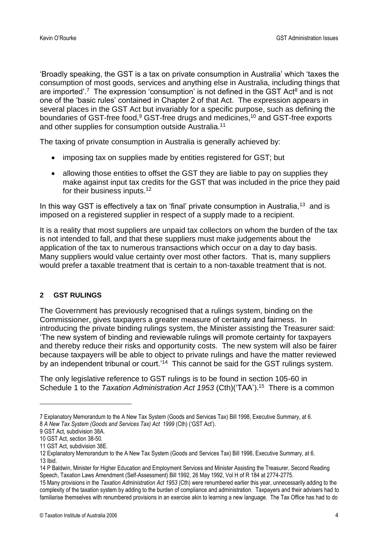'Broadly speaking, the GST is a tax on private consumption in Australia' which 'taxes the consumption of most goods, services and anything else in Australia, including things that are imported'.<sup>7</sup> The expression 'consumption' is not defined in the GST Act<sup>8</sup> and is not one of the 'basic rules' contained in Chapter 2 of that Act. The expression appears in several places in the GST Act but invariably for a specific purpose, such as defining the boundaries of GST-free food,<sup>9</sup> GST-free drugs and medicines,<sup>10</sup> and GST-free exports and other supplies for consumption outside Australia.<sup>11</sup>

The taxing of private consumption in Australia is generally achieved by:

- imposing tax on supplies made by entities registered for GST; but
- allowing those entities to offset the GST they are liable to pay on supplies they make against input tax credits for the GST that was included in the price they paid for their business inputs.<sup>12</sup>

In this way GST is effectively a tax on 'final' private consumption in Australia,<sup>13</sup> and is imposed on a registered supplier in respect of a supply made to a recipient.

It is a reality that most suppliers are unpaid tax collectors on whom the burden of the tax is not intended to fall, and that these suppliers must make judgements about the application of the tax to numerous transactions which occur on a day to day basis. Many suppliers would value certainty over most other factors. That is, many suppliers would prefer a taxable treatment that is certain to a non-taxable treatment that is not.

# **2 GST RULINGS**

The Government has previously recognised that a rulings system, binding on the Commissioner, gives taxpayers a greater measure of certainty and fairness. In introducing the private binding rulings system, the Minister assisting the Treasurer said: 'The new system of binding and reviewable rulings will promote certainty for taxpayers and thereby reduce their risks and opportunity costs. The new system will also be fairer because taxpayers will be able to object to private rulings and have the matter reviewed by an independent tribunal or court.'<sup>14</sup> This cannot be said for the GST rulings system.

The only legislative reference to GST rulings is to be found in section 105-60 in Schedule 1 to the *Taxation Administration Act 1953* (Cth)('TAA'). 15 There is a common

14 P Baldwin, Minister for Higher Education and Employment Services and Minister Assisting the Treasurer, Second Reading Speech, Taxation Laws Amendment (Self-Assessment) Bill 1992, 26 May 1992, Vol H of R 184 at 2774-2775.

<sup>7</sup> Explanatory Memorandum to the A New Tax System (Goods and Services Tax) Bill 1998, Executive Summary, at 6. 8 *A New Tax System (Goods and Services Tax) Act 1999* (Cth) ('GST Act').

<sup>9</sup> GST Act, subdivision 38A.

<sup>10</sup> GST Act, section 38-50.

<sup>11</sup> GST Act, subdivision 38E.

<sup>12</sup> Explanatory Memorandum to the A New Tax System (Goods and Services Tax) Bill 1998, Executive Summary, at 6. 13 Ibid.

<sup>15</sup> Many provisions in the *Taxation Administration Act 1953* (Cth) were renumbered earlier this year, unnecessarily adding to the complexity of the taxation system by adding to the burden of compliance and administration. Taxpayers and their advisers had to familiarise themselves with renumbered provisions in an exercise akin to learning a new language. The Tax Office has had to do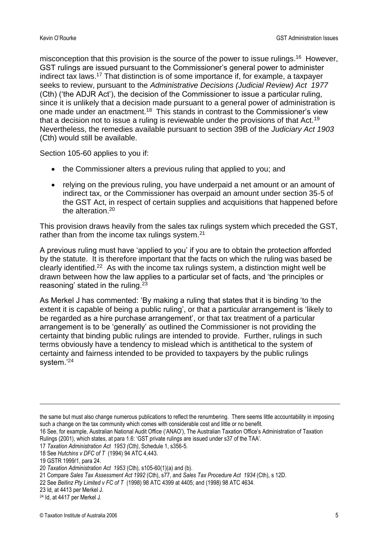misconception that this provision is the source of the power to issue rulings.<sup>16</sup> However, GST rulings are issued pursuant to the Commissioner's general power to administer indirect tax laws.<sup>17</sup> That distinction is of some importance if, for example, a taxpayer seeks to review, pursuant to the *Administrative Decisions (Judicial Review) Act 1977* (Cth) ('the ADJR Act'), the decision of the Commissioner to issue a particular ruling, since it is unlikely that a decision made pursuant to a general power of administration is one made under an enactment.<sup>18</sup> This stands in contrast to the Commissioner's view that a decision not to issue a ruling is reviewable under the provisions of that Act.<sup>19</sup> Nevertheless, the remedies available pursuant to section 39B of the *Judiciary Act 1903* (Cth) would still be available.

Section 105-60 applies to you if:

- the Commissioner alters a previous ruling that applied to you; and
- relying on the previous ruling, you have underpaid a net amount or an amount of indirect tax, or the Commissioner has overpaid an amount under section 35-5 of the GST Act, in respect of certain supplies and acquisitions that happened before the alteration.<sup>20</sup>

This provision draws heavily from the sales tax rulings system which preceded the GST, rather than from the income tax rulings system.<sup>21</sup>

A previous ruling must have 'applied to you' if you are to obtain the protection afforded by the statute. It is therefore important that the facts on which the ruling was based be clearly identified.<sup>22</sup> As with the income tax rulings system, a distinction might well be drawn between how the law applies to a particular set of facts, and 'the principles or reasoning' stated in the ruling.<sup>23</sup>

As Merkel J has commented: 'By making a ruling that states that it is binding 'to the extent it is capable of being a public ruling', or that a particular arrangement is 'likely to be regarded as a hire purchase arrangement', or that tax treatment of a particular arrangement is to be 'generally' as outlined the Commissioner is not providing the certainty that binding public rulings are intended to provide. Further, rulings in such terms obviously have a tendency to mislead which is antithetical to the system of certainty and fairness intended to be provided to taxpayers by the public rulings system.'<sup>24</sup>

the same but must also change numerous publications to reflect the renumbering. There seems little accountability in imposing such a change on the tax community which comes with considerable cost and little or no benefit.

<sup>16</sup> See, for example, Australian National Audit Office ('ANAO'), The Australian Taxation Office's Administration of Taxation Rulings (2001), which states, at para 1.6: 'GST private rulings are issued under s37 of the TAA'.

<sup>17</sup> *Taxation Administration Act 1953 (Cth)*, Schedule 1, s356-5.

<sup>18</sup> See *Hutchins v DFC of T* (1994) 94 ATC 4,443.

<sup>19</sup> GSTR 1999/1, para 24.

<sup>20</sup> *Taxation Administration Act 1953* (Cth)*,* s105-60(1)(a) and (b).

<sup>21</sup> Compare *Sales Tax Assessment Act 1992* (Cth), s77, and *Sales Tax Procedure Act 1934* (Cth), s 12D.

<sup>22</sup> See *Bellinz Pty Limited v FC of T* (1998) 98 ATC 4399 at 4405; and (1998) 98 ATC 4634.

<sup>23</sup> Id, at 4413 per Merkel J.

<sup>24</sup> Id, at 4417 per Merkel J.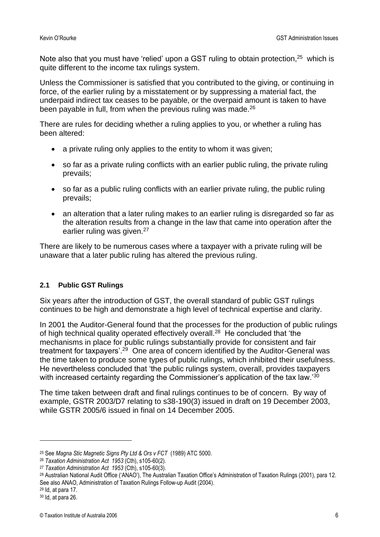Note also that you must have 'relied' upon a GST ruling to obtain protection, $25$  which is quite different to the income tax rulings system.

Unless the Commissioner is satisfied that you contributed to the giving, or continuing in force, of the earlier ruling by a misstatement or by suppressing a material fact, the underpaid indirect tax ceases to be payable, or the overpaid amount is taken to have been payable in full, from when the previous ruling was made.<sup>26</sup>

There are rules for deciding whether a ruling applies to you, or whether a ruling has been altered:

- a private ruling only applies to the entity to whom it was given;
- so far as a private ruling conflicts with an earlier public ruling, the private ruling prevails;
- so far as a public ruling conflicts with an earlier private ruling, the public ruling prevails;
- an alteration that a later ruling makes to an earlier ruling is disregarded so far as the alteration results from a change in the law that came into operation after the earlier ruling was given.<sup>27</sup>

There are likely to be numerous cases where a taxpayer with a private ruling will be unaware that a later public ruling has altered the previous ruling.

## **2.1 Public GST Rulings**

Six years after the introduction of GST, the overall standard of public GST rulings continues to be high and demonstrate a high level of technical expertise and clarity.

In 2001 the Auditor-General found that the processes for the production of public rulings of high technical quality operated effectively overall.<sup>28</sup> He concluded that 'the mechanisms in place for public rulings substantially provide for consistent and fair treatment for taxpayers'.<sup>29</sup> One area of concern identified by the Auditor-General was the time taken to produce some types of public rulings, which inhibited their usefulness. He nevertheless concluded that 'the public rulings system, overall, provides taxpayers with increased certainty regarding the Commissioner's application of the tax law.<sup>30</sup>

The time taken between draft and final rulings continues to be of concern. By way of example, GSTR 2003/D7 relating to s38-190(3) issued in draft on 19 December 2003, while GSTR 2005/6 issued in final on 14 December 2005.

<sup>25</sup> See *Magna Stic Magnetic Signs Pty Ltd & Ors v FCT* (1989) ATC 5000.

<sup>26</sup> *Taxation Administration Act 1953* (Cth), s105-60(2).

<sup>27</sup> *Taxation Administration Act 1953* (Cth), s105-60(3).

<sup>28</sup> Australian National Audit Office ('ANAO'), The Australian Taxation Office's Administration of Taxation Rulings (2001), para 12. See also ANAO, Administration of Taxation Rulings Follow-up Audit (2004).

<sup>29</sup> Id, at para 17.

<sup>30</sup> Id, at para 26.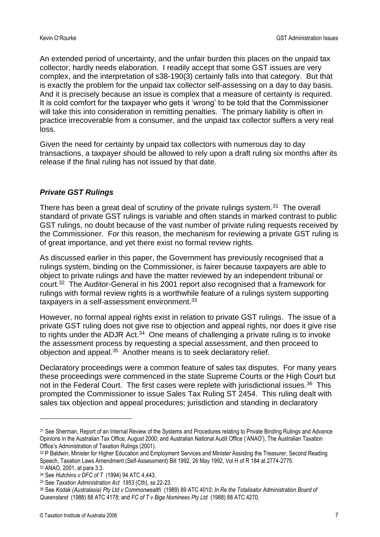An extended period of uncertainty, and the unfair burden this places on the unpaid tax collector, hardly needs elaboration. I readily accept that some GST issues are very complex, and the interpretation of s38-190(3) certainly falls into that category. But that is exactly the problem for the unpaid tax collector self-assessing on a day to day basis. And it is precisely because an issue is complex that a measure of certainty is required. It is cold comfort for the taxpayer who gets it 'wrong' to be told that the Commissioner will take this into consideration in remitting penalties. The primary liability is often in practice irrecoverable from a consumer, and the unpaid tax collector suffers a very real loss.

Given the need for certainty by unpaid tax collectors with numerous day to day transactions, a taxpayer should be allowed to rely upon a draft ruling six months after its release if the final ruling has not issued by that date.

# *Private GST Rulings*

There has been a great deal of scrutiny of the private rulings system.<sup>31</sup> The overall standard of private GST rulings is variable and often stands in marked contrast to public GST rulings, no doubt because of the vast number of private ruling requests received by the Commissioner. For this reason, the mechanism for reviewing a private GST ruling is of great importance, and yet there exist no formal review rights.

As discussed earlier in this paper, the Government has previously recognised that a rulings system, binding on the Commissioner, is fairer because taxpayers are able to object to private rulings and have the matter reviewed by an independent tribunal or court.<sup>32</sup> The Auditor-General in his 2001 report also recognised that a framework for rulings with formal review rights is a worthwhile feature of a rulings system supporting taxpayers in a self-assessment environment.<sup>33</sup>

However, no formal appeal rights exist in relation to private GST rulings. The issue of a private GST ruling does not give rise to objection and appeal rights, nor does it give rise to rights under the ADJR Act. $34$  One means of challenging a private ruling is to invoke the assessment process by requesting a special assessment, and then proceed to objection and appeal.<sup>35</sup> Another means is to seek declaratory relief.

Declaratory proceedings were a common feature of sales tax disputes. For many years these proceedings were commenced in the state Supreme Courts or the High Court but not in the Federal Court. The first cases were replete with jurisdictional issues.<sup>36</sup> This prompted the Commissioner to issue Sales Tax Ruling ST 2454. This ruling dealt with sales tax objection and appeal procedures; jurisdiction and standing in declaratory

<sup>31</sup> See Sherman, Report of an Internal Review of the Systems and Procedures relating to Private Binding Rulings and Advance Opinions in the Australian Tax Office, August 2000; and Australian National Audit Office ('ANAO'), The Australian Taxation Office's Administration of Taxation Rulings (2001).

<sup>32</sup> P Baldwin, Minister for Higher Education and Employment Services and Minister Assisting the Treasurer, Second Reading Speech, Taxation Laws Amendment (Self-Assessment) Bill 1992, 26 May 1992, Vol H of R 184 at 2774-2775.

<sup>33</sup> ANAO, 2001, at para 3.3.

<sup>34</sup> See *Hutchins v DFC of T* (1994) 94 ATC 4,443.

<sup>35</sup> See *Taxation Administration Act 1953* (Cth), ss 22-23.

<sup>36</sup> See *Kodak (Australasia) Pty Ltd v Commonwealth* (1989) 89 ATC 4010; *In Re the Totalisator Administration Board of Queensland* (1988) 88 ATC 4178; and *FC of T v Biga Nominees Pty Ltd* (1988) 88 ATC 4270.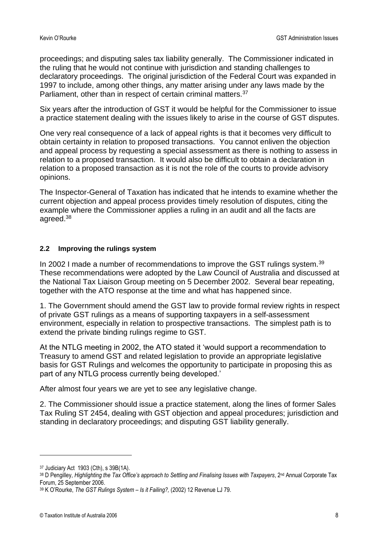proceedings; and disputing sales tax liability generally. The Commissioner indicated in the ruling that he would not continue with jurisdiction and standing challenges to declaratory proceedings. The original jurisdiction of the Federal Court was expanded in 1997 to include, among other things, any matter arising under any laws made by the Parliament, other than in respect of certain criminal matters.<sup>37</sup>

Six years after the introduction of GST it would be helpful for the Commissioner to issue a practice statement dealing with the issues likely to arise in the course of GST disputes.

One very real consequence of a lack of appeal rights is that it becomes very difficult to obtain certainty in relation to proposed transactions. You cannot enliven the objection and appeal process by requesting a special assessment as there is nothing to assess in relation to a proposed transaction. It would also be difficult to obtain a declaration in relation to a proposed transaction as it is not the role of the courts to provide advisory opinions.

The Inspector-General of Taxation has indicated that he intends to examine whether the current objection and appeal process provides timely resolution of disputes, citing the example where the Commissioner applies a ruling in an audit and all the facts are agreed.<sup>38</sup>

## **2.2 Improving the rulings system**

In 2002 I made a number of recommendations to improve the GST rulings system.<sup>39</sup> These recommendations were adopted by the Law Council of Australia and discussed at the National Tax Liaison Group meeting on 5 December 2002. Several bear repeating, together with the ATO response at the time and what has happened since.

1. The Government should amend the GST law to provide formal review rights in respect of private GST rulings as a means of supporting taxpayers in a self-assessment environment, especially in relation to prospective transactions. The simplest path is to extend the private binding rulings regime to GST.

At the NTLG meeting in 2002, the ATO stated it 'would support a recommendation to Treasury to amend GST and related legislation to provide an appropriate legislative basis for GST Rulings and welcomes the opportunity to participate in proposing this as part of any NTLG process currently being developed.'

After almost four years we are yet to see any legislative change.

2. The Commissioner should issue a practice statement, along the lines of former Sales Tax Ruling ST 2454, dealing with GST objection and appeal procedures; jurisdiction and standing in declaratory proceedings; and disputing GST liability generally.

<sup>37</sup> Judiciary Act 1903 (Cth), s 39B(1A).

<sup>38</sup> D Pengilley, *Highlighting the Tax Office's approach to Settling and Finalising Issues with Taxpayers*, 2nd Annual Corporate Tax Forum, 25 September 2006.

<sup>39</sup> K O'Rourke, *The GST Rulings System – Is it Failing?,* (2002) 12 Revenue LJ 79.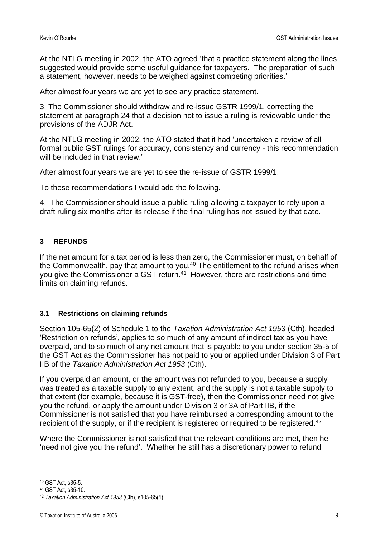At the NTLG meeting in 2002, the ATO agreed 'that a practice statement along the lines suggested would provide some useful guidance for taxpayers. The preparation of such a statement, however, needs to be weighed against competing priorities.'

After almost four years we are yet to see any practice statement.

3. The Commissioner should withdraw and re-issue GSTR 1999/1, correcting the statement at paragraph 24 that a decision not to issue a ruling is reviewable under the provisions of the ADJR Act.

At the NTLG meeting in 2002, the ATO stated that it had 'undertaken a review of all formal public GST rulings for accuracy, consistency and currency - this recommendation will be included in that review.'

After almost four years we are yet to see the re-issue of GSTR 1999/1.

To these recommendations I would add the following.

4. The Commissioner should issue a public ruling allowing a taxpayer to rely upon a draft ruling six months after its release if the final ruling has not issued by that date.

# **3 REFUNDS**

If the net amount for a tax period is less than zero, the Commissioner must, on behalf of the Commonwealth, pay that amount to you.<sup>40</sup> The entitlement to the refund arises when you give the Commissioner a GST return.<sup>41</sup> However, there are restrictions and time limits on claiming refunds.

## **3.1 Restrictions on claiming refunds**

Section 105-65(2) of Schedule 1 to the *Taxation Administration Act 1953* (Cth), headed 'Restriction on refunds', applies to so much of any amount of indirect tax as you have overpaid, and to so much of any net amount that is payable to you under section 35-5 of the GST Act as the Commissioner has not paid to you or applied under Division 3 of Part IIB of the *Taxation Administration Act 1953* (Cth).

If you overpaid an amount, or the amount was not refunded to you, because a supply was treated as a taxable supply to any extent, and the supply is not a taxable supply to that extent (for example, because it is GST-free), then the Commissioner need not give you the refund, or apply the amount under Division 3 or 3A of Part IIB, if the Commissioner is not satisfied that you have reimbursed a corresponding amount to the recipient of the supply, or if the recipient is registered or required to be registered.<sup>42</sup>

Where the Commissioner is not satisfied that the relevant conditions are met, then he 'need not give you the refund'. Whether he still has a discretionary power to refund

<sup>40</sup> GST Act, s35-5.

<sup>41</sup> GST Act, s35-10.

<sup>42</sup> *Taxation Administration Act 1953* (Cth), s105-65(1).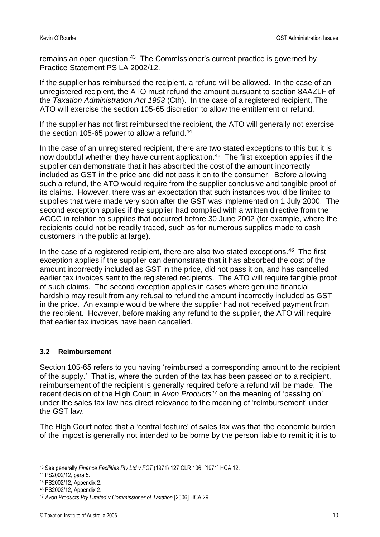remains an open question.<sup>43</sup> The Commissioner's current practice is governed by Practice Statement PS LA 2002/12.

If the supplier has reimbursed the recipient, a refund will be allowed. In the case of an unregistered recipient, the ATO must refund the amount pursuant to section 8AAZLF of the *Taxation Administration Act 1953* (Cth). In the case of a registered recipient, The ATO will exercise the section 105-65 discretion to allow the entitlement or refund.

If the supplier has not first reimbursed the recipient, the ATO will generally not exercise the section 105-65 power to allow a refund. $44$ 

In the case of an unregistered recipient, there are two stated exceptions to this but it is now doubtful whether they have current application.<sup>45</sup> The first exception applies if the supplier can demonstrate that it has absorbed the cost of the amount incorrectly included as GST in the price and did not pass it on to the consumer. Before allowing such a refund, the ATO would require from the supplier conclusive and tangible proof of its claims. However, there was an expectation that such instances would be limited to supplies that were made very soon after the GST was implemented on 1 July 2000. The second exception applies if the supplier had complied with a written directive from the ACCC in relation to supplies that occurred before 30 June 2002 (for example, where the recipients could not be readily traced, such as for numerous supplies made to cash customers in the public at large).

In the case of a registered recipient, there are also two stated exceptions.<sup>46</sup> The first exception applies if the supplier can demonstrate that it has absorbed the cost of the amount incorrectly included as GST in the price, did not pass it on, and has cancelled earlier tax invoices sent to the registered recipients. The ATO will require tangible proof of such claims. The second exception applies in cases where genuine financial hardship may result from any refusal to refund the amount incorrectly included as GST in the price. An example would be where the supplier had not received payment from the recipient. However, before making any refund to the supplier, the ATO will require that earlier tax invoices have been cancelled.

#### **3.2 Reimbursement**

Section 105-65 refers to you having 'reimbursed a corresponding amount to the recipient of the supply.' That is, where the burden of the tax has been passed on to a recipient, reimbursement of the recipient is generally required before a refund will be made. The recent decision of the High Court in *Avon Products<sup>47</sup>* on the meaning of 'passing on' under the sales tax law has direct relevance to the meaning of 'reimbursement' under the GST law.

The High Court noted that a 'central feature' of sales tax was that 'the economic burden of the impost is generally not intended to be borne by the person liable to remit it; it is to

<sup>43</sup> See generally *Finance Facilities Pty Ltd v FCT* (1971) 127 CLR 106; [1971] HCA 12.

<sup>44</sup> PS2002/12, para 5.

<sup>45</sup> PS2002/12, Appendix 2.

<sup>46</sup> PS2002/12, Appendix 2.

<sup>47</sup> *Avon Products Pty Limited v Commissioner of Taxation* [2006] HCA 29.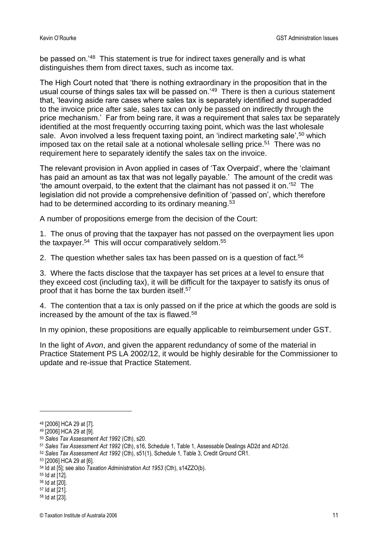be passed on.<sup>'48</sup> This statement is true for indirect taxes generally and is what distinguishes them from direct taxes, such as income tax.

The High Court noted that 'there is nothing extraordinary in the proposition that in the usual course of things sales tax will be passed on.'<sup>49</sup> There is then a curious statement that, 'leaving aside rare cases where sales tax is separately identified and superadded to the invoice price after sale, sales tax can only be passed on indirectly through the price mechanism.' Far from being rare, it was a requirement that sales tax be separately identified at the most frequently occurring taxing point, which was the last wholesale sale. Avon involved a less frequent taxing point, an 'indirect marketing sale',<sup>50</sup> which imposed tax on the retail sale at a notional wholesale selling price.<sup>51</sup> There was no requirement here to separately identify the sales tax on the invoice.

The relevant provision in Avon applied in cases of 'Tax Overpaid', where the 'claimant has paid an amount as tax that was not legally payable.' The amount of the credit was 'the amount overpaid, to the extent that the claimant has not passed it on.' $52$  The legislation did not provide a comprehensive definition of 'passed on', which therefore had to be determined according to its ordinary meaning.<sup>53</sup>

A number of propositions emerge from the decision of the Court:

1. The onus of proving that the taxpayer has not passed on the overpayment lies upon the taxpayer.<sup>54</sup> This will occur comparatively seldom.<sup>55</sup>

2. The question whether sales tax has been passed on is a question of fact.<sup>56</sup>

3. Where the facts disclose that the taxpayer has set prices at a level to ensure that they exceed cost (including tax), it will be difficult for the taxpayer to satisfy its onus of proof that it has borne the tax burden itself.<sup>57</sup>

4. The contention that a tax is only passed on if the price at which the goods are sold is increased by the amount of the tax is flawed.<sup>58</sup>

In my opinion, these propositions are equally applicable to reimbursement under GST.

In the light of *Avon*, and given the apparent redundancy of some of the material in Practice Statement PS LA 2002/12, it would be highly desirable for the Commissioner to update and re-issue that Practice Statement.

<sup>55</sup> Id at [12].

- <sup>57</sup> Id at [21].
- <sup>58</sup> Id at [23].

<sup>48</sup> [2006] HCA 29 at [7].

<sup>49</sup> [2006] HCA 29 at [9].

<sup>50</sup> *Sales Tax Assessment Act 1992* (Cth), s20.

<sup>51</sup> *Sales Tax Assessment Act 1992* (Cth), s16, Schedule 1, Table 1, Assessable Dealings AD2d and AD12d.

<sup>52</sup> *Sales Tax Assessment Act 1992* (Cth), s51(1), Schedule 1, Table 3, Credit Ground CR1.

<sup>53</sup> [2006] HCA 29 at [6].

<sup>54</sup> Id at [5]; see also *Taxation Administration Act 1953* (Cth), s14ZZO(b).

<sup>56</sup> Id at [20].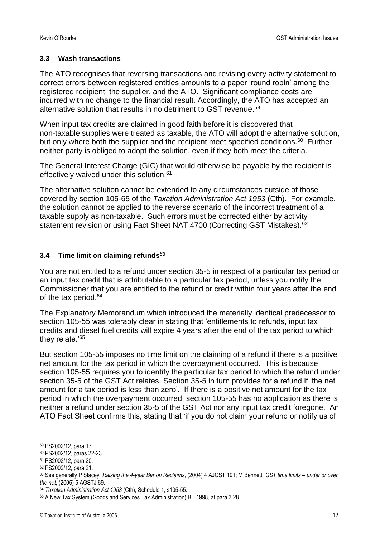## **3.3 Wash transactions**

The ATO recognises that reversing transactions and revising every activity statement to correct errors between registered entities amounts to a paper 'round robin' among the registered recipient, the supplier, and the ATO. Significant compliance costs are incurred with no change to the financial result. Accordingly, the ATO has accepted an alternative solution that results in no detriment to GST revenue.<sup>59</sup>

When input tax credits are claimed in good faith before it is discovered that non-taxable supplies were treated as taxable, the ATO will adopt the alternative solution, but only where both the supplier and the recipient meet specified conditions.<sup>60</sup> Further, neither party is obliged to adopt the solution, even if they both meet the criteria.

The General Interest Charge (GIC) that would otherwise be payable by the recipient is effectively waived under this solution.<sup>61</sup>

The alternative solution cannot be extended to any circumstances outside of those covered by section 105-65 of the *Taxation Administration Act 1953* (Cth). For example, the solution cannot be applied to the reverse scenario of the incorrect treatment of a taxable supply as non-taxable. Such errors must be corrected either by activity statement revision or using Fact Sheet NAT 4700 (Correcting GST Mistakes).<sup>62</sup>

## **3.4 Time limit on claiming refunds***<sup>63</sup>*

You are not entitled to a refund under section 35-5 in respect of a particular tax period or an input tax credit that is attributable to a particular tax period, unless you notify the Commissioner that you are entitled to the refund or credit within four years after the end of the tax period.<sup>64</sup>

The Explanatory Memorandum which introduced the materially identical predecessor to section 105-55 was tolerably clear in stating that 'entitlements to refunds, input tax credits and diesel fuel credits will expire 4 years after the end of the tax period to which they relate.'<sup>65</sup>

But section 105-55 imposes no time limit on the claiming of a refund if there is a positive net amount for the tax period in which the overpayment occurred. This is because section 105-55 requires you to identify the particular tax period to which the refund under section 35-5 of the GST Act relates. Section 35-5 in turn provides for a refund if 'the net amount for a tax period is less than zero'. If there is a positive net amount for the tax period in which the overpayment occurred, section 105-55 has no application as there is neither a refund under section 35-5 of the GST Act nor any input tax credit foregone. An ATO Fact Sheet confirms this, stating that 'if you do not claim your refund or notify us of

<sup>59</sup> PS2002/12, para 17.

<sup>60</sup> PS2002/12, paras 22-23.

<sup>61</sup> PS2002/12, para 20.

<sup>62</sup> PS2002/12, para 21.

<sup>63</sup> See generally P Stacey, *Raising the 4-year Bar on Reclaims*, (2004) 4 AJGST 191; M Bennett, *GST time limits – under or over the net*, (2005) 5 AGSTJ 69.

<sup>64</sup> *Taxation Administration Act 1953* (Cth), Schedule 1, s105-55.

<sup>65</sup> A New Tax System (Goods and Services Tax Administration) Bill 1998, at para 3.28.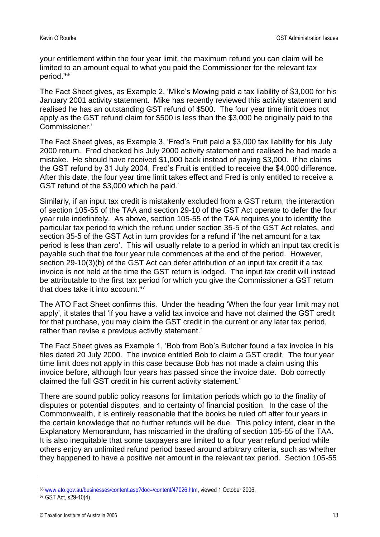your entitlement within the four year limit, the maximum refund you can claim will be limited to an amount equal to what you paid the Commissioner for the relevant tax period.'<sup>66</sup>

The Fact Sheet gives, as Example 2, 'Mike's Mowing paid a tax liability of \$3,000 for his January 2001 activity statement. Mike has recently reviewed this activity statement and realised he has an outstanding GST refund of \$500. The four year time limit does not apply as the GST refund claim for \$500 is less than the \$3,000 he originally paid to the Commissioner.'

The Fact Sheet gives, as Example 3, 'Fred's Fruit paid a \$3,000 tax liability for his July 2000 return. Fred checked his July 2000 activity statement and realised he had made a mistake. He should have received \$1,000 back instead of paying \$3,000. If he claims the GST refund by 31 July 2004, Fred's Fruit is entitled to receive the \$4,000 difference. After this date, the four year time limit takes effect and Fred is only entitled to receive a GST refund of the \$3,000 which he paid.'

Similarly, if an input tax credit is mistakenly excluded from a GST return, the interaction of section 105-55 of the TAA and section 29-10 of the GST Act operate to defer the four year rule indefinitely. As above, section 105-55 of the TAA requires you to identify the particular tax period to which the refund under section 35-5 of the GST Act relates, and section 35-5 of the GST Act in turn provides for a refund if 'the net amount for a tax period is less than zero'. This will usually relate to a period in which an input tax credit is payable such that the four year rule commences at the end of the period. However, section 29-10(3)(b) of the GST Act can defer attribution of an input tax credit if a tax invoice is not held at the time the GST return is lodged. The input tax credit will instead be attributable to the first tax period for which you give the Commissioner a GST return that does take it into account.<sup>67</sup>

The ATO Fact Sheet confirms this. Under the heading 'When the four year limit may not apply', it states that 'if you have a valid tax invoice and have not claimed the GST credit for that purchase, you may claim the GST credit in the current or any later tax period, rather than revise a previous activity statement.'

The Fact Sheet gives as Example 1, 'Bob from Bob's Butcher found a tax invoice in his files dated 20 July 2000. The invoice entitled Bob to claim a GST credit. The four year time limit does not apply in this case because Bob has not made a claim using this invoice before, although four years has passed since the invoice date. Bob correctly claimed the full GST credit in his current activity statement.'

There are sound public policy reasons for limitation periods which go to the finality of disputes or potential disputes, and to certainty of financial position. In the case of the Commonwealth, it is entirely reasonable that the books be ruled off after four years in the certain knowledge that no further refunds will be due. This policy intent, clear in the Explanatory Memorandum, has miscarried in the drafting of section 105-55 of the TAA. It is also inequitable that some taxpayers are limited to a four year refund period while others enjoy an unlimited refund period based around arbitrary criteria, such as whether they happened to have a positive net amount in the relevant tax period. Section 105-55

<sup>66</sup> [www.ato.gov.au/businesses/content.asp?doc=/content/47026.htm,](http://www.ato.gov.au/businesses/content.asp?doc=/content/47026.htm) viewed 1 October 2006.

<sup>67</sup> GST Act, s29-10(4).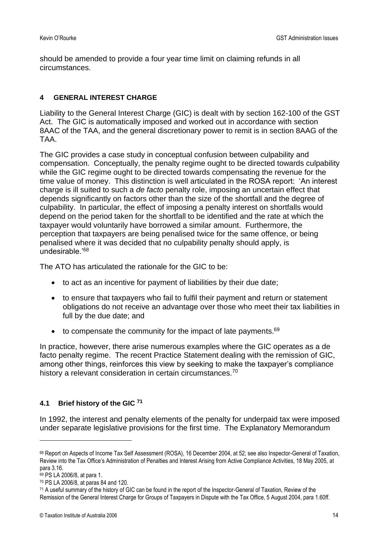should be amended to provide a four year time limit on claiming refunds in all circumstances.

# **4 GENERAL INTEREST CHARGE**

Liability to the General Interest Charge (GIC) is dealt with by section 162-100 of the GST Act. The GIC is automatically imposed and worked out in accordance with section 8AAC of the TAA, and the general discretionary power to remit is in section 8AAG of the TAA.

The GIC provides a case study in conceptual confusion between culpability and compensation. Conceptually, the penalty regime ought to be directed towards culpability while the GIC regime ought to be directed towards compensating the revenue for the time value of money. This distinction is well articulated in the ROSA report: 'An interest charge is ill suited to such a *de facto* penalty role, imposing an uncertain effect that depends significantly on factors other than the size of the shortfall and the degree of culpability. In particular, the effect of imposing a penalty interest on shortfalls would depend on the period taken for the shortfall to be identified and the rate at which the taxpayer would voluntarily have borrowed a similar amount. Furthermore, the perception that taxpayers are being penalised twice for the same offence, or being penalised where it was decided that no culpability penalty should apply, is undesirable.'<sup>68</sup>

The ATO has articulated the rationale for the GIC to be:

- to act as an incentive for payment of liabilities by their due date;
- to ensure that taxpayers who fail to fulfil their payment and return or statement obligations do not receive an advantage over those who meet their tax liabilities in full by the due date; and
- $\bullet$  to compensate the community for the impact of late payments.<sup>69</sup>

In practice, however, there arise numerous examples where the GIC operates as a de facto penalty regime. The recent Practice Statement dealing with the remission of GIC, among other things, reinforces this view by seeking to make the taxpayer's compliance history a relevant consideration in certain circumstances.<sup>70</sup>

## **4.1 Brief history of the GIC <sup>71</sup>**

In 1992, the interest and penalty elements of the penalty for underpaid tax were imposed under separate legislative provisions for the first time. The Explanatory Memorandum

<sup>68</sup> Report on Aspects of Income Tax Self Assessment (ROSA), 16 December 2004, at 52; see also Inspector-General of Taxation, Review into the Tax Office's Administration of Penalties and Interest Arising from Active Compliance Activities, 18 May 2005, at para 3.16.

<sup>69</sup> PS LA 2006/8, at para 1.

<sup>70</sup> PS LA 2006/8, at paras 84 and 120.

<sup>71</sup> A useful summary of the history of GIC can be found in the report of the Inspector-General of Taxation, Review of the Remission of the General Interest Charge for Groups of Taxpayers in Dispute with the Tax Office, 5 August 2004, para 1.60ff.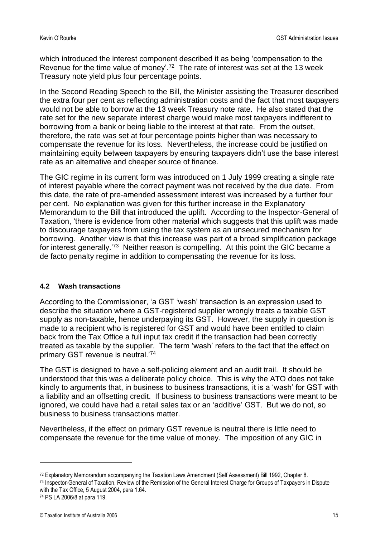which introduced the interest component described it as being 'compensation to the Revenue for the time value of money'.<sup>72</sup> The rate of interest was set at the 13 week Treasury note yield plus four percentage points.

In the Second Reading Speech to the Bill, the Minister assisting the Treasurer described the extra four per cent as reflecting administration costs and the fact that most taxpayers would not be able to borrow at the 13 week Treasury note rate. He also stated that the rate set for the new separate interest charge would make most taxpayers indifferent to borrowing from a bank or being liable to the interest at that rate. From the outset, therefore, the rate was set at four percentage points higher than was necessary to compensate the revenue for its loss. Nevertheless, the increase could be justified on maintaining equity between taxpayers by ensuring taxpayers didn't use the base interest rate as an alternative and cheaper source of finance.

The GIC regime in its current form was introduced on 1 July 1999 creating a single rate of interest payable where the correct payment was not received by the due date. From this date, the rate of pre-amended assessment interest was increased by a further four per cent. No explanation was given for this further increase in the Explanatory Memorandum to the Bill that introduced the uplift. According to the Inspector-General of Taxation, 'there is evidence from other material which suggests that this uplift was made to discourage taxpayers from using the tax system as an unsecured mechanism for borrowing. Another view is that this increase was part of a broad simplification package for interest generally.<sup>'73</sup> Neither reason is compelling. At this point the GIC became a de facto penalty regime in addition to compensating the revenue for its loss.

#### **4.2 Wash transactions**

According to the Commissioner, 'a GST 'wash' transaction is an expression used to describe the situation where a GST-registered supplier wrongly treats a taxable GST supply as non-taxable, hence underpaying its GST. However, the supply in question is made to a recipient who is registered for GST and would have been entitled to claim back from the Tax Office a full input tax credit if the transaction had been correctly treated as taxable by the supplier. The term 'wash' refers to the fact that the effect on primary GST revenue is neutral.'74

The GST is designed to have a self-policing element and an audit trail. It should be understood that this was a deliberate policy choice. This is why the ATO does not take kindly to arguments that, in business to business transactions, it is a 'wash' for GST with a liability and an offsetting credit. If business to business transactions were meant to be ignored, we could have had a retail sales tax or an 'additive' GST. But we do not, so business to business transactions matter.

Nevertheless, if the effect on primary GST revenue is neutral there is little need to compensate the revenue for the time value of money. The imposition of any GIC in

<sup>72</sup> Explanatory Memorandum accompanying the Taxation Laws Amendment (Self Assessment) Bill 1992, Chapter 8.

<sup>73</sup> Inspector-General of Taxation, Review of the Remission of the General Interest Charge for Groups of Taxpayers in Dispute with the Tax Office, 5 August 2004, para 1.64.

<sup>74</sup> PS LA 2006/8 at para 119.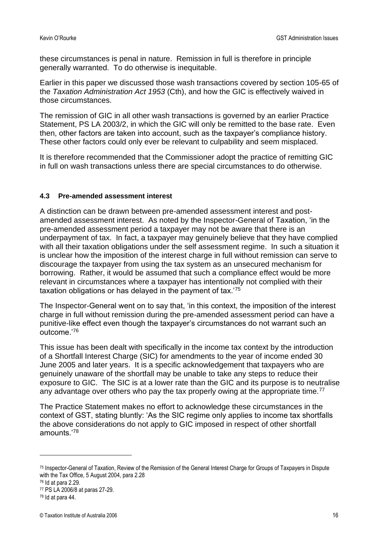these circumstances is penal in nature. Remission in full is therefore in principle generally warranted. To do otherwise is inequitable.

Earlier in this paper we discussed those wash transactions covered by section 105-65 of the *Taxation Administration Act 1953* (Cth), and how the GIC is effectively waived in those circumstances.

The remission of GIC in all other wash transactions is governed by an earlier Practice Statement, PS LA 2003/2, in which the GIC will only be remitted to the base rate. Even then, other factors are taken into account, such as the taxpayer's compliance history. These other factors could only ever be relevant to culpability and seem misplaced.

It is therefore recommended that the Commissioner adopt the practice of remitting GIC in full on wash transactions unless there are special circumstances to do otherwise.

## **4.3 Pre-amended assessment interest**

A distinction can be drawn between pre-amended assessment interest and postamended assessment interest. As noted by the Inspector-General of Taxation, 'in the pre-amended assessment period a taxpayer may not be aware that there is an underpayment of tax. In fact, a taxpayer may genuinely believe that they have complied with all their taxation obligations under the self assessment regime. In such a situation it is unclear how the imposition of the interest charge in full without remission can serve to discourage the taxpayer from using the tax system as an unsecured mechanism for borrowing. Rather, it would be assumed that such a compliance effect would be more relevant in circumstances where a taxpayer has intentionally not complied with their taxation obligations or has delayed in the payment of tax.'<sup>75</sup>

The Inspector-General went on to say that, 'in this context, the imposition of the interest charge in full without remission during the pre-amended assessment period can have a punitive-like effect even though the taxpayer's circumstances do not warrant such an outcome.'<sup>76</sup>

This issue has been dealt with specifically in the income tax context by the introduction of a Shortfall Interest Charge (SIC) for amendments to the year of income ended 30 June 2005 and later years. It is a specific acknowledgement that taxpayers who are genuinely unaware of the shortfall may be unable to take any steps to reduce their exposure to GIC. The SIC is at a lower rate than the GIC and its purpose is to neutralise any advantage over others who pay the tax properly owing at the appropriate time.<sup>77</sup>

The Practice Statement makes no effort to acknowledge these circumstances in the context of GST, stating bluntly: 'As the SIC regime only applies to income tax shortfalls the above considerations do not apply to GIC imposed in respect of other shortfall amounts.'<sup>78</sup>

<sup>75</sup> Inspector-General of Taxation, Review of the Remission of the General Interest Charge for Groups of Taxpayers in Dispute with the Tax Office, 5 August 2004, para 2.28

<sup>76</sup> Id at para 2.29.

<sup>77</sup> PS LA 2006/8 at paras 27-29.

<sup>78</sup> Id at para 44.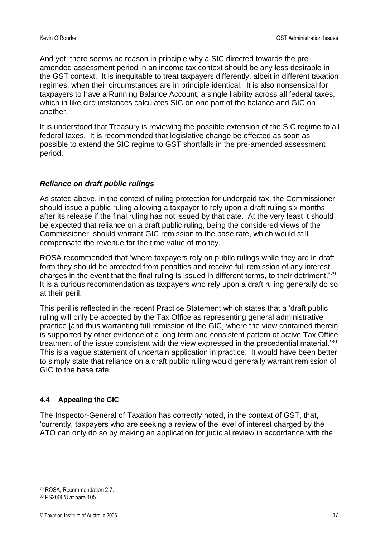And yet, there seems no reason in principle why a SIC directed towards the preamended assessment period in an income tax context should be any less desirable in the GST context. It is inequitable to treat taxpayers differently, albeit in different taxation regimes, when their circumstances are in principle identical. It is also nonsensical for taxpayers to have a Running Balance Account, a single liability across all federal taxes, which in like circumstances calculates SIC on one part of the balance and GIC on another.

It is understood that Treasury is reviewing the possible extension of the SIC regime to all federal taxes. It is recommended that legislative change be effected as soon as possible to extend the SIC regime to GST shortfalls in the pre-amended assessment period.

# *Reliance on draft public rulings*

As stated above, in the context of ruling protection for underpaid tax, the Commissioner should issue a public ruling allowing a taxpayer to rely upon a draft ruling six months after its release if the final ruling has not issued by that date. At the very least it should be expected that reliance on a draft public ruling, being the considered views of the Commissioner, should warrant GIC remission to the base rate, which would still compensate the revenue for the time value of money.

ROSA recommended that 'where taxpayers rely on public rulings while they are in draft form they should be protected from penalties and receive full remission of any interest charges in the event that the final ruling is issued in different terms, to their detriment.'<sup>79</sup> It is a curious recommendation as taxpayers who rely upon a draft ruling generally do so at their peril.

This peril is reflected in the recent Practice Statement which states that a 'draft public ruling will only be accepted by the Tax Office as representing general administrative practice [and thus warranting full remission of the GIC] where the view contained therein is supported by other evidence of a long term and consistent pattern of active Tax Office treatment of the issue consistent with the view expressed in the precedential material.'<sup>80</sup> This is a vague statement of uncertain application in practice. It would have been better to simply state that reliance on a draft public ruling would generally warrant remission of GIC to the base rate.

## **4.4 Appealing the GIC**

The Inspector-General of Taxation has correctly noted, in the context of GST, that, 'currently, taxpayers who are seeking a review of the level of interest charged by the ATO can only do so by making an application for judicial review in accordance with the

<sup>79</sup> ROSA, Recommendation 2.7.

<sup>80</sup> PS2006/8 at para 105.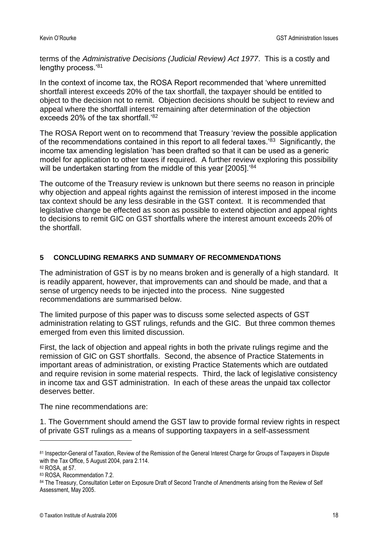terms of the *Administrative Decisions (Judicial Review) Act 1977*. This is a costly and lengthy process.'<sup>81</sup>

In the context of income tax, the ROSA Report recommended that 'where unremitted shortfall interest exceeds 20% of the tax shortfall, the taxpayer should be entitled to object to the decision not to remit. Objection decisions should be subject to review and appeal where the shortfall interest remaining after determination of the objection exceeds 20% of the tax shortfall.'<sup>82</sup>

The ROSA Report went on to recommend that Treasury 'review the possible application of the recommendations contained in this report to all federal taxes.'<sup>83</sup> Significantly, the income tax amending legislation 'has been drafted so that it can be used as a generic model for application to other taxes if required. A further review exploring this possibility will be undertaken starting from the middle of this year [2005].<sup>'84</sup>

The outcome of the Treasury review is unknown but there seems no reason in principle why objection and appeal rights against the remission of interest imposed in the income tax context should be any less desirable in the GST context. It is recommended that legislative change be effected as soon as possible to extend objection and appeal rights to decisions to remit GIC on GST shortfalls where the interest amount exceeds 20% of the shortfall.

## **5 CONCLUDING REMARKS AND SUMMARY OF RECOMMENDATIONS**

The administration of GST is by no means broken and is generally of a high standard. It is readily apparent, however, that improvements can and should be made, and that a sense of urgency needs to be injected into the process. Nine suggested recommendations are summarised below.

The limited purpose of this paper was to discuss some selected aspects of GST administration relating to GST rulings, refunds and the GIC. But three common themes emerged from even this limited discussion.

First, the lack of objection and appeal rights in both the private rulings regime and the remission of GIC on GST shortfalls. Second, the absence of Practice Statements in important areas of administration, or existing Practice Statements which are outdated and require revision in some material respects. Third, the lack of legislative consistency in income tax and GST administration. In each of these areas the unpaid tax collector deserves better.

The nine recommendations are:

1. The Government should amend the GST law to provide formal review rights in respect of private GST rulings as a means of supporting taxpayers in a self-assessment

<sup>81</sup> Inspector-General of Taxation, Review of the Remission of the General Interest Charge for Groups of Taxpayers in Dispute with the Tax Office, 5 August 2004, para 2.114.

<sup>82</sup> ROSA, at 57.

<sup>83</sup> ROSA, Recommendation 7.2.

<sup>84</sup> The Treasury, Consultation Letter on Exposure Draft of Second Tranche of Amendments arising from the Review of Self Assessment, May 2005.